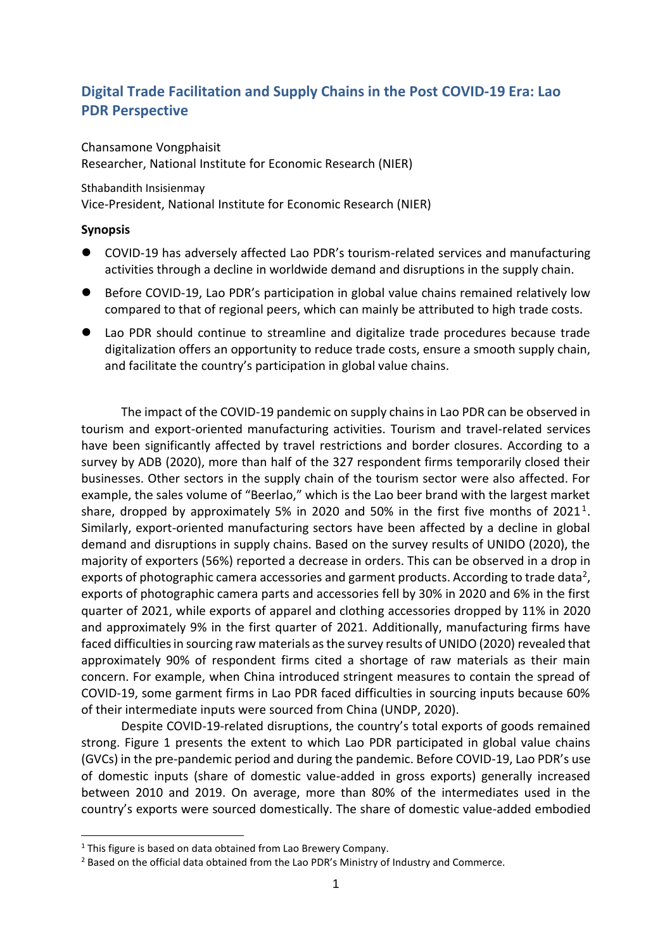# **Digital Trade Facilitation and Supply Chains in the Post COVID-19 Era: Lao PDR Perspective**

### Chansamone Vongphaisit

Researcher, National Institute for Economic Research (NIER)

#### Sthabandith Insisienmay

Vice-President, National Institute for Economic Research (NIER)

### **Synopsis**

- COVID-19 has adversely affected Lao PDR's tourism-related services and manufacturing activities through a decline in worldwide demand and disruptions in the supply chain.
- Before COVID-19, Lao PDR's participation in global value chains remained relatively low compared to that of regional peers, which can mainly be attributed to high trade costs.
- ⚫ Lao PDR should continue to streamline and digitalize trade procedures because trade digitalization offers an opportunity to reduce trade costs, ensure a smooth supply chain, and facilitate the country's participation in global value chains.

The impact of the COVID-19 pandemic on supply chains in Lao PDR can be observed in tourism and export-oriented manufacturing activities. Tourism and travel-related services have been significantly affected by travel restrictions and border closures. According to a survey by ADB (2020), more than half of the 327 respondent firms temporarily closed their businesses. Other sectors in the supply chain of the tourism sector were also affected. For example, the sales volume of "Beerlao," which is the Lao beer brand with the largest market share, dropped by approximately 5% in 2020 and 50% in the first five months of 2021<sup>1</sup>. Similarly, export-oriented manufacturing sectors have been affected by a decline in global demand and disruptions in supply chains. Based on the survey results of UNIDO (2020), the majority of exporters (56%) reported a decrease in orders. This can be observed in a drop in exports of photographic camera accessories and garment products. According to trade data<sup>2</sup>, exports of photographic camera parts and accessories fell by 30% in 2020 and 6% in the first quarter of 2021, while exports of apparel and clothing accessories dropped by 11% in 2020 and approximately 9% in the first quarter of 2021. Additionally, manufacturing firms have faced difficulties in sourcing raw materials as the survey results of UNIDO (2020) revealed that approximately 90% of respondent firms cited a shortage of raw materials as their main concern. For example, when China introduced stringent measures to contain the spread of COVID-19, some garment firms in Lao PDR faced difficulties in sourcing inputs because 60% of their intermediate inputs were sourced from China (UNDP, 2020).

Despite COVID-19-related disruptions, the country's total exports of goods remained strong. Figure 1 presents the extent to which Lao PDR participated in global value chains (GVCs) in the pre-pandemic period and during the pandemic. Before COVID-19, Lao PDR's use of domestic inputs (share of domestic value-added in gross exports) generally increased between 2010 and 2019. On average, more than 80% of the intermediates used in the country's exports were sourced domestically. The share of domestic value-added embodied

 $1$  This figure is based on data obtained from Lao Brewery Company.

<sup>2</sup> Based on the official data obtained from the Lao PDR's Ministry of Industry and Commerce.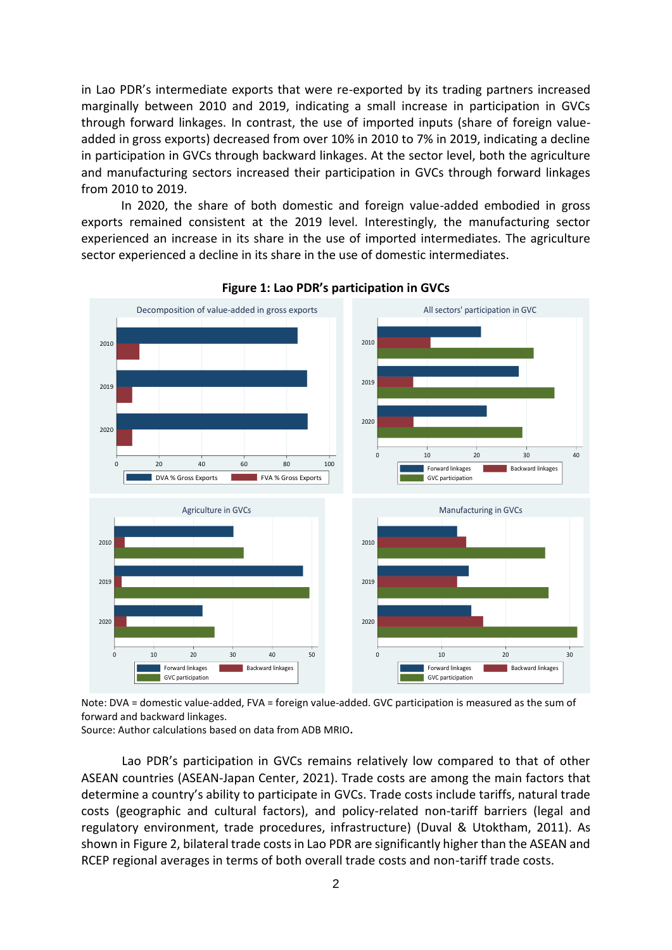in Lao PDR's intermediate exports that were re-exported by its trading partners increased marginally between 2010 and 2019, indicating a small increase in participation in GVCs through forward linkages. In contrast, the use of imported inputs (share of foreign valueadded in gross exports) decreased from over 10% in 2010 to 7% in 2019, indicating a decline in participation in GVCs through backward linkages. At the sector level, both the agriculture and manufacturing sectors increased their participation in GVCs through forward linkages from 2010 to 2019.

In 2020, the share of both domestic and foreign value-added embodied in gross exports remained consistent at the 2019 level. Interestingly, the manufacturing sector experienced an increase in its share in the use of imported intermediates. The agriculture sector experienced a decline in its share in the use of domestic intermediates.



#### **Figure 1: Lao PDR's participation in GVCs**

Note: DVA = domestic value-added, FVA = foreign value-added. GVC participation is measured as the sum of forward and backward linkages.

Source: Author calculations based on data from ADB MRIO**.**

Lao PDR's participation in GVCs remains relatively low compared to that of other ASEAN countries (ASEAN-Japan Center, 2021). Trade costs are among the main factors that determine a country's ability to participate in GVCs. Trade costs include tariffs, natural trade costs (geographic and cultural factors), and policy-related non-tariff barriers (legal and regulatory environment, trade procedures, infrastructure) (Duval & Utoktham, 2011). As shown in Figure 2, bilateral trade costs in Lao PDR are significantly higher than the ASEAN and RCEP regional averages in terms of both overall trade costs and non-tariff trade costs.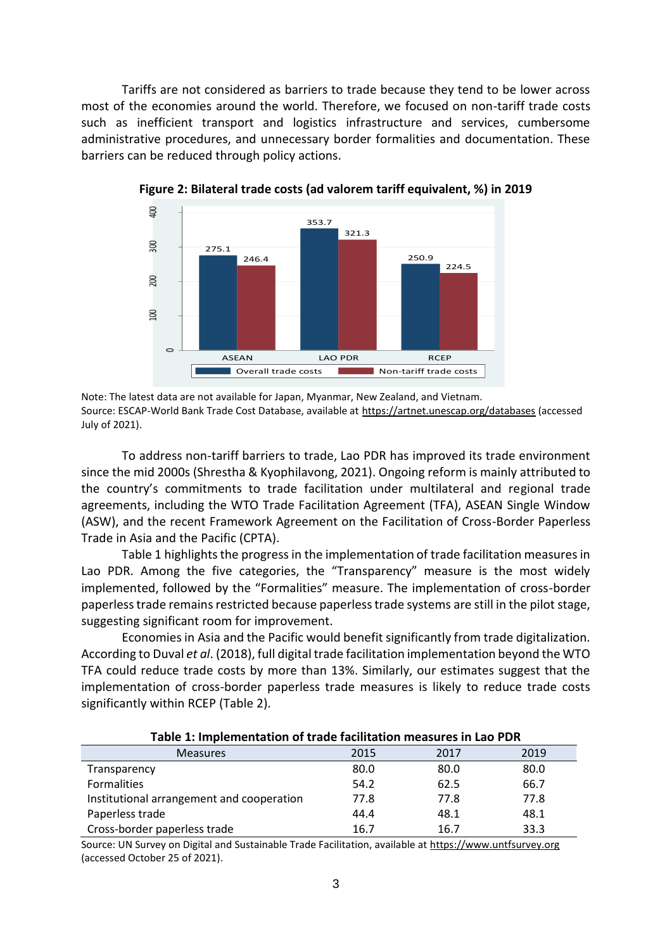Tariffs are not considered as barriers to trade because they tend to be lower across most of the economies around the world. Therefore, we focused on non-tariff trade costs such as inefficient transport and logistics infrastructure and services, cumbersome administrative procedures, and unnecessary border formalities and documentation. These barriers can be reduced through policy actions.



**Figure 2: Bilateral trade costs (ad valorem tariff equivalent, %) in 2019** 

Note: The latest data are not available for Japan, Myanmar, New Zealand, and Vietnam. Source: ESCAP-World Bank Trade Cost Database, available at <https://artnet.unescap.org/databases> (accessed July of 2021).

To address non-tariff barriers to trade, Lao PDR has improved its trade environment since the mid 2000s (Shrestha & Kyophilavong, 2021). Ongoing reform is mainly attributed to the country's commitments to trade facilitation under multilateral and regional trade agreements, including the WTO Trade Facilitation Agreement (TFA), ASEAN Single Window (ASW), and the recent Framework Agreement on the Facilitation of Cross-Border Paperless Trade in Asia and the Pacific (CPTA).

Table 1 highlights the progress in the implementation of trade facilitation measures in Lao PDR. Among the five categories, the "Transparency" measure is the most widely implemented, followed by the "Formalities" measure. The implementation of cross-border paperless trade remains restricted because paperless trade systems are still in the pilot stage, suggesting significant room for improvement.

Economies in Asia and the Pacific would benefit significantly from trade digitalization. According to Duval *et al*. (2018), full digital trade facilitation implementation beyond the WTO TFA could reduce trade costs by more than 13%. Similarly, our estimates suggest that the implementation of cross-border paperless trade measures is likely to reduce trade costs significantly within RCEP (Table 2).

| ושאוכ בי וווואוכוווכוונטנוטוו טו נוטטכ וטטווונטנוטוו וווכטסטו כס ווו בטט ו שונ |      |      |      |  |
|--------------------------------------------------------------------------------|------|------|------|--|
| <b>Measures</b>                                                                | 2015 | 2017 | 2019 |  |
| Transparency                                                                   | 80.0 | 80.0 | 80.0 |  |
| <b>Formalities</b>                                                             | 54.2 | 62.5 | 66.7 |  |
| Institutional arrangement and cooperation                                      | 77.8 | 77.8 | 77.8 |  |
| Paperless trade                                                                | 44.4 | 48.1 | 48.1 |  |
| Cross-border paperless trade                                                   | 16.7 | 16.7 | 33.3 |  |

**Table 1: Implementation of trade facilitation measures in Lao PDR**

Source: UN Survey on Digital and Sustainable Trade Facilitation, available at [https://www.untfsurvey.org](https://www.untfsurvey.org/)  (accessed October 25 of 2021).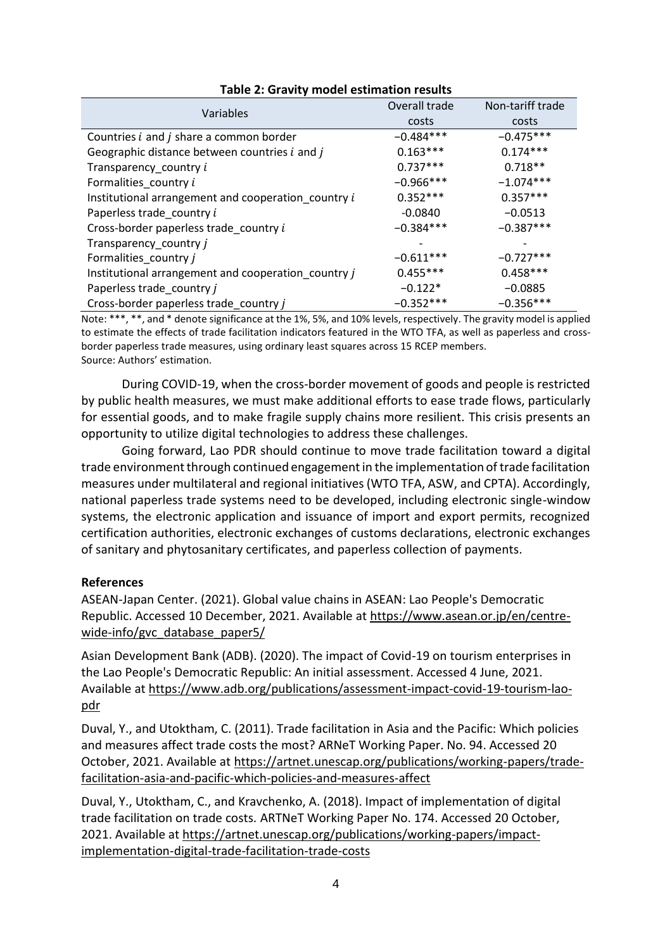| Variables                                             | Overall trade | Non-tariff trade |
|-------------------------------------------------------|---------------|------------------|
|                                                       | costs         | costs            |
| Countries <i>i</i> and <i>j</i> share a common border | $-0.484***$   | $-0.475***$      |
| Geographic distance between countries i and j         | $0.163***$    | $0.174***$       |
| Transparency_country i                                | $0.737***$    | $0.718**$        |
| Formalities_country i                                 | $-0.966***$   | $-1.074***$      |
| Institutional arrangement and cooperation_country i   | $0.352***$    | $0.357***$       |
| Paperless trade country i                             | $-0.0840$     | $-0.0513$        |
| Cross-border paperless trade_country i                | $-0.384***$   | $-0.387***$      |
| Transparency_country j                                |               |                  |
| Formalities_country j                                 | $-0.611***$   | $-0.727***$      |
| Institutional arrangement and cooperation_country j   | $0.455***$    | $0.458***$       |
| Paperless trade_country j                             | $-0.122*$     | $-0.0885$        |
| Cross-border paperless trade_country j                | $-0.352***$   | $-0.356***$      |

### **Table 2: Gravity model estimation results**

Note: \*\*\*, \*\*, and \* denote significance at the 1%, 5%, and 10% levels, respectively. The gravity model is applied to estimate the effects of trade facilitation indicators featured in the WTO TFA, as well as paperless and crossborder paperless trade measures, using ordinary least squares across 15 RCEP members. Source: Authors' estimation.

During COVID-19, when the cross-border movement of goods and people is restricted by public health measures, we must make additional efforts to ease trade flows, particularly for essential goods, and to make fragile supply chains more resilient. This crisis presents an opportunity to utilize digital technologies to address these challenges.

Going forward, Lao PDR should continue to move trade facilitation toward a digital trade environment through continued engagement in the implementation of trade facilitation measures under multilateral and regional initiatives (WTO TFA, ASW, and CPTA). Accordingly, national paperless trade systems need to be developed, including electronic single-window systems, the electronic application and issuance of import and export permits, recognized certification authorities, electronic exchanges of customs declarations, electronic exchanges of sanitary and phytosanitary certificates, and paperless collection of payments.

## **References**

ASEAN-Japan Center. (2021). Global value chains in ASEAN: Lao People's Democratic Republic. Accessed 10 December, 2021. Available at [https://www.asean.or.jp/en/centre](https://www.asean.or.jp/en/centre-wide-info/gvc_database_paper5/)wide-info/gvc\_database\_paper5/

Asian Development Bank (ADB). (2020). The impact of Covid-19 on tourism enterprises in the Lao People's Democratic Republic: An initial assessment. Accessed 4 June, 2021. Available at [https://www.adb.org/publications/assessment-impact-covid-19-tourism-lao](https://www.adb.org/publications/assessment-impact-covid-19-tourism-lao-pdr)[pdr](https://www.adb.org/publications/assessment-impact-covid-19-tourism-lao-pdr) 

Duval, Y., and Utoktham, C. (2011). Trade facilitation in Asia and the Pacific: Which policies and measures affect trade costs the most? ARNeT Working Paper. No. 94. Accessed 20 October, 2021. Available at [https://artnet.unescap.org/publications/working-papers/trade](https://artnet.unescap.org/publications/working-papers/trade-facilitation-asia-and-pacific-which-policies-and-measures-affect)[facilitation-asia-and-pacific-which-policies-and-measures-affect](https://artnet.unescap.org/publications/working-papers/trade-facilitation-asia-and-pacific-which-policies-and-measures-affect)

Duval, Y., Utoktham, C., and Kravchenko, A. (2018). Impact of implementation of digital trade facilitation on trade costs*.* ARTNeT Working Paper No. 174. Accessed 20 October, 2021. Available a[t https://artnet.unescap.org/publications/working-papers/impact](https://artnet.unescap.org/publications/working-papers/impact-implementation-digital-trade-facilitation-trade-costs)[implementation-digital-trade-facilitation-trade-costs](https://artnet.unescap.org/publications/working-papers/impact-implementation-digital-trade-facilitation-trade-costs)